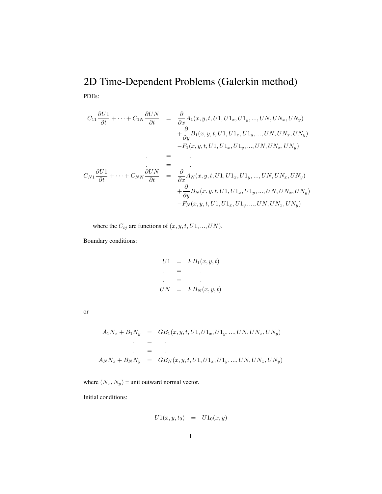## 2D Time-Dependent Problems (Galerkin method) PDEs:

$$
C_{11} \frac{\partial U1}{\partial t} + \dots + C_{1N} \frac{\partial UN}{\partial t} = \frac{\partial}{\partial x} A_1(x, y, t, U1, U1_x, U1_y, ..., UN, UN_x, UN_y)
$$
  
+  $\frac{\partial}{\partial y} B_1(x, y, t, U1, U1_x, U1_y, ..., UN, UN_x, UN_y)$   
-  $F_1(x, y, t, U1, U1_x, U1_y, ..., UN, UN_x, UN_y)$   
=  

$$
C_{N1} \frac{\partial U1}{\partial t} + \dots + C_{NN} \frac{\partial UN}{\partial t} = \frac{\partial}{\partial x} A_N(x, y, t, U1, U1_x, U1_y, ..., UN, UN_x, UN_y)
$$
  
+  $\frac{\partial}{\partial y} B_N(x, y, t, U1, U1_x, U1_y, ..., UN, UN_x, UN_y)$   
-  $F_N(x, y, t, U1, U1_x, U1_y, ..., UN, UN_x, UN_y)$ 

where the  $C_{ij}$  are functions of  $(x, y, t, U1, ..., UN)$ .

Boundary conditions:

$$
U1 = FB_1(x, y, t)
$$
  
= .  

$$
UN = FB_N(x, y, t)
$$

or

$$
A_1N_x + B_1N_y = GB_1(x, y, t, U1, U1_x, U1_y, ..., UN, UN_x, UN_y)
$$
  
=  

$$
\vdots
$$
  

$$
A_NN_x + B_NN_y = GB_N(x, y, t, U1, U1_x, U1_y, ..., UN, UN_x, UN_y)
$$

where  $(N_x, N_y)$  = unit outward normal vector.

Initial conditions:

$$
U1(x, y, t_0) = U1_0(x, y)
$$